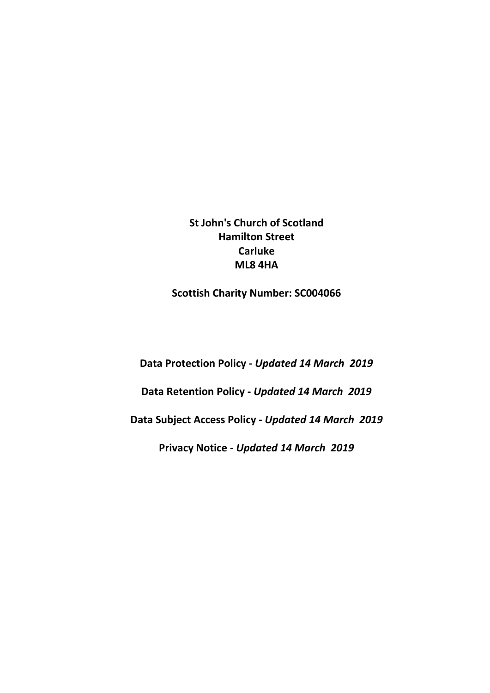**St John's Church of Scotland Hamilton Street Carluke ML8 4HA**

**Scottish Charity Number: SC004066**

**Data Protection Policy -** *Updated 14 March 2019*

**Data Retention Policy -** *Updated 14 March 2019*

**Data Subject Access Policy -** *Updated 14 March 2019*

**Privacy Notice -** *Updated 14 March 2019*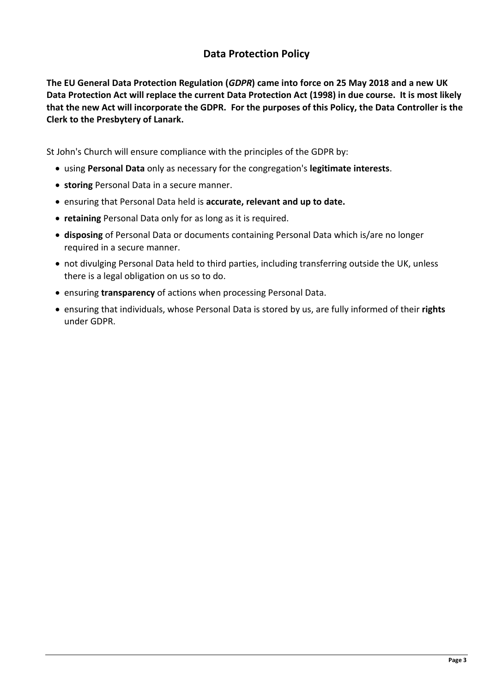# **Data Protection Policy**

**The EU General Data Protection Regulation (***GDPR***) came into force on 25 May 2018 and a new UK Data Protection Act will replace the current Data Protection Act (1998) in due course. It is most likely that the new Act will incorporate the GDPR. For the purposes of this Policy, the Data Controller is the Clerk to the Presbytery of Lanark.**

St John's Church will ensure compliance with the principles of the GDPR by:

- using **Personal Data** only as necessary for the congregation's **legitimate interests**.
- **storing** Personal Data in a secure manner.
- ensuring that Personal Data held is **accurate, relevant and up to date.**
- **retaining** Personal Data only for as long as it is required.
- **disposing** of Personal Data or documents containing Personal Data which is/are no longer required in a secure manner.
- not divulging Personal Data held to third parties, including transferring outside the UK, unless there is a legal obligation on us so to do.
- ensuring **transparency** of actions when processing Personal Data.
- ensuring that individuals, whose Personal Data is stored by us, are fully informed of their **rights** under GDPR.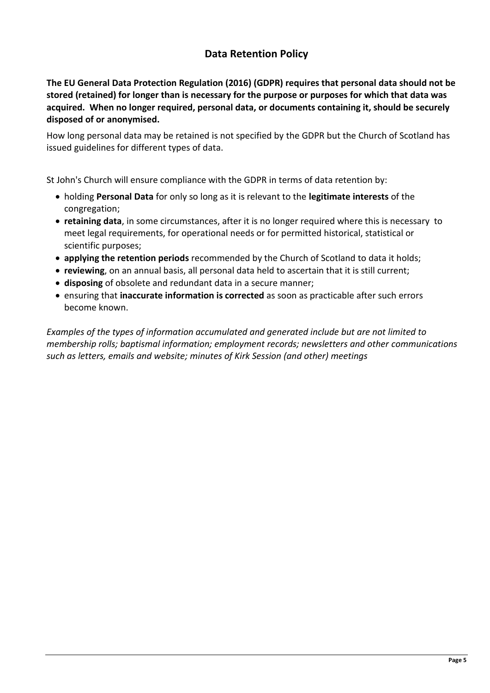# **Data Retention Policy**

**The EU General Data Protection Regulation (2016) (GDPR) requires that personal data should not be stored (retained) for longer than is necessary for the purpose or purposes for which that data was acquired. When no longer required, personal data, or documents containing it, should be securely disposed of or anonymised.**

How long personal data may be retained is not specified by the GDPR but the Church of Scotland has issued guidelines for different types of data.

St John's Church will ensure compliance with the GDPR in terms of data retention by:

- holding **Personal Data** for only so long as it is relevant to the **legitimate interests** of the congregation;
- **retaining data**, in some circumstances, after it is no longer required where this is necessary to meet legal requirements, for operational needs or for permitted historical, statistical or scientific purposes;
- **applying the retention periods** recommended by the Church of Scotland to data it holds;
- **reviewing**, on an annual basis, all personal data held to ascertain that it is still current;
- **disposing** of obsolete and redundant data in a secure manner;
- ensuring that **inaccurate information is corrected** as soon as practicable after such errors become known.

*Examples of the types of information accumulated and generated include but are not limited to membership rolls; baptismal information; employment records; newsletters and other communications such as letters, emails and website; minutes of Kirk Session (and other) meetings*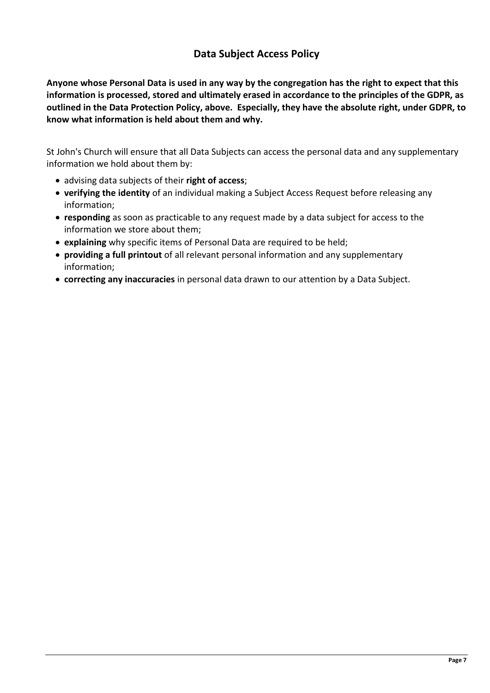# **Data Subject Access Policy**

**Anyone whose Personal Data is used in any way by the congregation has the right to expect that this information is processed, stored and ultimately erased in accordance to the principles of the GDPR, as outlined in the Data Protection Policy, above. Especially, they have the absolute right, under GDPR, to know what information is held about them and why.**

St John's Church will ensure that all Data Subjects can access the personal data and any supplementary information we hold about them by:

- advising data subjects of their **right of access**;
- **verifying the identity** of an individual making a Subject Access Request before releasing any information;
- **responding** as soon as practicable to any request made by a data subject for access to the information we store about them;
- **explaining** why specific items of Personal Data are required to be held;
- **providing a full printout** of all relevant personal information and any supplementary information;
- **correcting any inaccuracies** in personal data drawn to our attention by a Data Subject.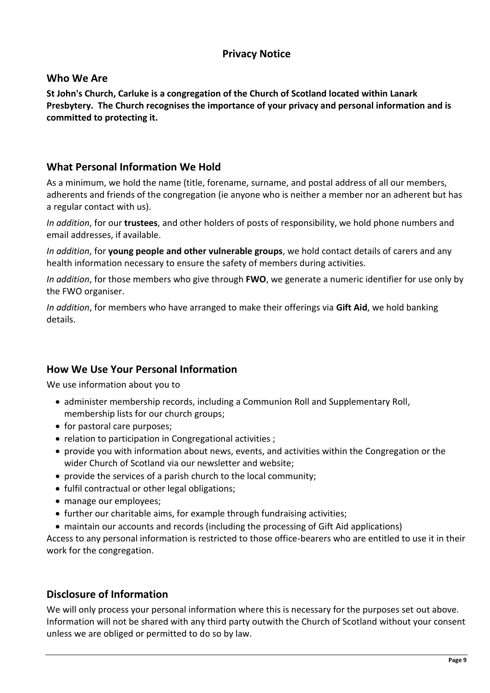# **Privacy Notice**

## **Who We Are**

**St John's Church, Carluke is a congregation of the Church of Scotland located within Lanark Presbytery. The Church recognises the importance of your privacy and personal information and is committed to protecting it.** 

# **What Personal Information We Hold**

As a minimum, we hold the name (title, forename, surname, and postal address of all our members, adherents and friends of the congregation (ie anyone who is neither a member nor an adherent but has a regular contact with us).

*In addition*, for our **trustees**, and other holders of posts of responsibility, we hold phone numbers and email addresses, if available.

*In addition*, for **young people and other vulnerable groups**, we hold contact details of carers and any health information necessary to ensure the safety of members during activities.

*In addition*, for those members who give through **FWO**, we generate a numeric identifier for use only by the FWO organiser.

*In addition*, for members who have arranged to make their offerings via **Gift Aid**, we hold banking details.

## **How We Use Your Personal Information**

We use information about you to

- administer membership records, including a Communion Roll and Supplementary Roll, membership lists for our church groups;
- for pastoral care purposes;
- relation to participation in Congregational activities ;
- provide you with information about news, events, and activities within the Congregation or the wider Church of Scotland via our newsletter and website;
- provide the services of a parish church to the local community;
- fulfil contractual or other legal obligations;
- manage our employees;
- further our charitable aims, for example through fundraising activities;
- maintain our accounts and records (including the processing of Gift Aid applications)

Access to any personal information is restricted to those office-bearers who are entitled to use it in their work for the congregation.

# **Disclosure of Information**

We will only process your personal information where this is necessary for the purposes set out above. Information will not be shared with any third party outwith the Church of Scotland without your consent unless we are obliged or permitted to do so by law.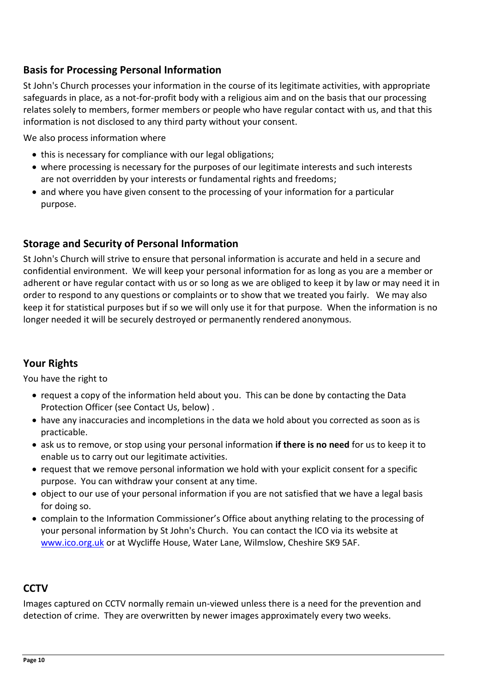# **Basis for Processing Personal Information**

St John's Church processes your information in the course of its legitimate activities, with appropriate safeguards in place, as a not-for-profit body with a religious aim and on the basis that our processing relates solely to members, former members or people who have regular contact with us, and that this information is not disclosed to any third party without your consent.

We also process information where

- this is necessary for compliance with our legal obligations;
- where processing is necessary for the purposes of our legitimate interests and such interests are not overridden by your interests or fundamental rights and freedoms;
- and where you have given consent to the processing of your information for a particular purpose.

## **Storage and Security of Personal Information**

St John's Church will strive to ensure that personal information is accurate and held in a secure and confidential environment. We will keep your personal information for as long as you are a member or adherent or have regular contact with us or so long as we are obliged to keep it by law or may need it in order to respond to any questions or complaints or to show that we treated you fairly. We may also keep it for statistical purposes but if so we will only use it for that purpose. When the information is no longer needed it will be securely destroyed or permanently rendered anonymous.

# **Your Rights**

You have the right to

- request a copy of the information held about you. This can be done by contacting the Data Protection Officer (see Contact Us, below) .
- have any inaccuracies and incompletions in the data we hold about you corrected as soon as is practicable.
- ask us to remove, or stop using your personal information **if there is no need** for us to keep it to enable us to carry out our legitimate activities.
- request that we remove personal information we hold with your explicit consent for a specific purpose. You can withdraw your consent at any time.
- object to our use of your personal information if you are not satisfied that we have a legal basis for doing so.
- complain to the Information Commissioner's Office about anything relating to the processing of your personal information by St John's Church. You can contact the ICO via its website at [www.ico.org.uk](http://www.ico.org.uk/) or at Wycliffe House, Water Lane, Wilmslow, Cheshire SK9 5AF.

## **CCTV**

Images captured on CCTV normally remain un-viewed unless there is a need for the prevention and detection of crime. They are overwritten by newer images approximately every two weeks.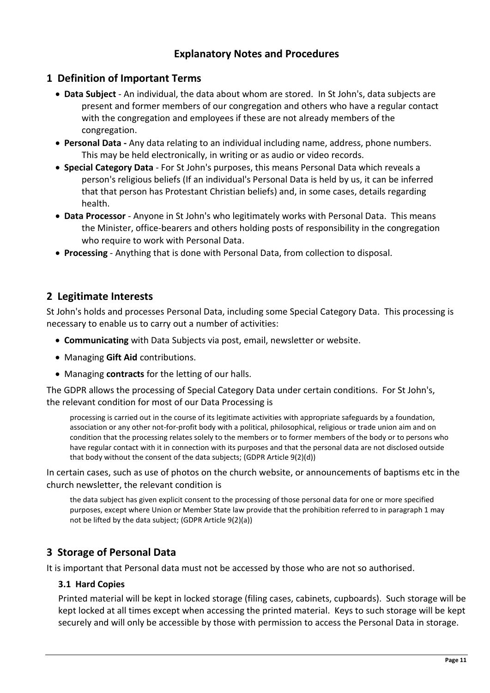# **Explanatory Notes and Procedures**

### **1 Definition of Important Terms**

- **Data Subject** An individual, the data about whom are stored. In St John's, data subjects are present and former members of our congregation and others who have a regular contact with the congregation and employees if these are not already members of the congregation.
- **Personal Data -** Any data relating to an individual including name, address, phone numbers. This may be held electronically, in writing or as audio or video records.
- **Special Category Data** For St John's purposes, this means Personal Data which reveals a person's religious beliefs (If an individual's Personal Data is held by us, it can be inferred that that person has Protestant Christian beliefs) and, in some cases, details regarding health.
- **Data Processor** Anyone in St John's who legitimately works with Personal Data. This means the Minister, office-bearers and others holding posts of responsibility in the congregation who require to work with Personal Data.
- **Processing**  Anything that is done with Personal Data, from collection to disposal.

## **2 Legitimate Interests**

St John's holds and processes Personal Data, including some Special Category Data. This processing is necessary to enable us to carry out a number of activities:

- **Communicating** with Data Subjects via post, email, newsletter or website.
- Managing **Gift Aid** contributions.
- Managing **contracts** for the letting of our halls.

The GDPR allows the processing of Special Category Data under certain conditions. For St John's, the relevant condition for most of our Data Processing is

processing is carried out in the course of its legitimate activities with appropriate safeguards by a foundation, association or any other not-for-profit body with a political, philosophical, religious or trade union aim and on condition that the processing relates solely to the members or to former members of the body or to persons who have regular contact with it in connection with its purposes and that the personal data are not disclosed outside that body without the consent of the data subjects; (GDPR Article 9(2)(d))

In certain cases, such as use of photos on the church website, or announcements of baptisms etc in the church newsletter, the relevant condition is

the data subject has given explicit consent to the processing of those personal data for one or more specified purposes, except where Union or Member State law provide that the prohibition referred to in paragraph 1 may not be lifted by the data subject; (GDPR Article 9(2)(a))

## **3 Storage of Personal Data**

It is important that Personal data must not be accessed by those who are not so authorised.

### **3.1 Hard Copies**

Printed material will be kept in locked storage (filing cases, cabinets, cupboards). Such storage will be kept locked at all times except when accessing the printed material. Keys to such storage will be kept securely and will only be accessible by those with permission to access the Personal Data in storage.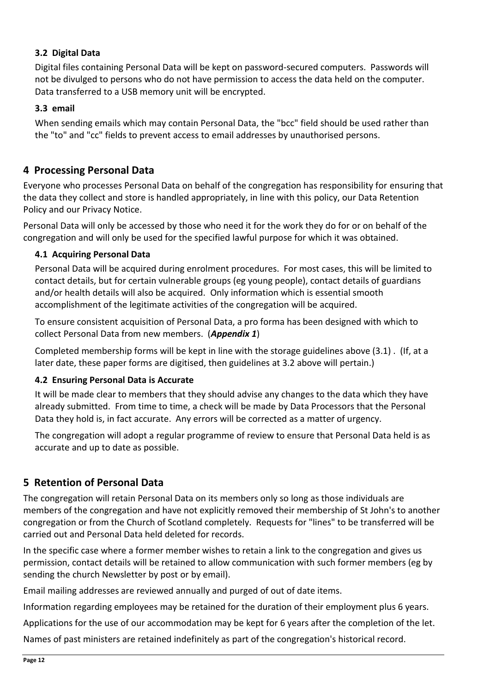### **3.2 Digital Data**

Digital files containing Personal Data will be kept on password-secured computers. Passwords will not be divulged to persons who do not have permission to access the data held on the computer. Data transferred to a USB memory unit will be encrypted.

### **3.3 email**

When sending emails which may contain Personal Data, the "bcc" field should be used rather than the "to" and "cc" fields to prevent access to email addresses by unauthorised persons.

## **4 Processing Personal Data**

Everyone who processes Personal Data on behalf of the congregation has responsibility for ensuring that the data they collect and store is handled appropriately, in line with this policy, our Data Retention Policy and our Privacy Notice.

Personal Data will only be accessed by those who need it for the work they do for or on behalf of the congregation and will only be used for the specified lawful purpose for which it was obtained.

### **4.1 Acquiring Personal Data**

Personal Data will be acquired during enrolment procedures. For most cases, this will be limited to contact details, but for certain vulnerable groups (eg young people), contact details of guardians and/or health details will also be acquired. Only information which is essential smooth accomplishment of the legitimate activities of the congregation will be acquired.

To ensure consistent acquisition of Personal Data, a pro forma has been designed with which to collect Personal Data from new members. (*Appendix 1*)

Completed membership forms will be kept in line with the storage guidelines above (3.1) . (If, at a later date, these paper forms are digitised, then guidelines at 3.2 above will pertain.)

### **4.2 Ensuring Personal Data is Accurate**

It will be made clear to members that they should advise any changes to the data which they have already submitted. From time to time, a check will be made by Data Processors that the Personal Data they hold is, in fact accurate. Any errors will be corrected as a matter of urgency.

The congregation will adopt a regular programme of review to ensure that Personal Data held is as accurate and up to date as possible.

# **5 Retention of Personal Data**

The congregation will retain Personal Data on its members only so long as those individuals are members of the congregation and have not explicitly removed their membership of St John's to another congregation or from the Church of Scotland completely. Requests for "lines" to be transferred will be carried out and Personal Data held deleted for records.

In the specific case where a former member wishes to retain a link to the congregation and gives us permission, contact details will be retained to allow communication with such former members (eg by sending the church Newsletter by post or by email).

Email mailing addresses are reviewed annually and purged of out of date items.

Information regarding employees may be retained for the duration of their employment plus 6 years.

Applications for the use of our accommodation may be kept for 6 years after the completion of the let.

Names of past ministers are retained indefinitely as part of the congregation's historical record.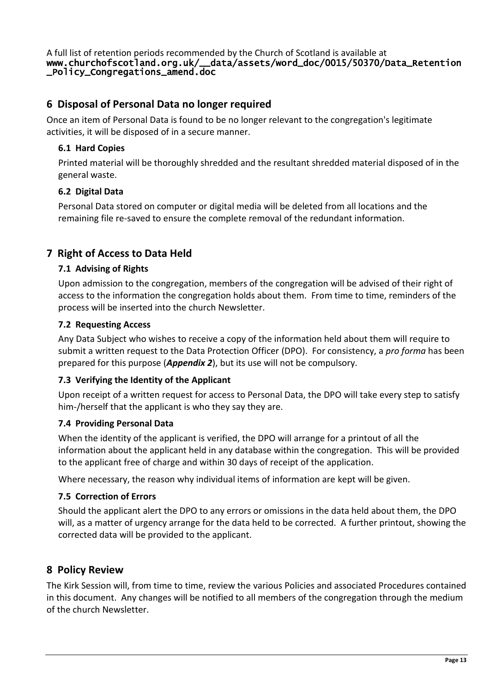A full list of retention periods recommended by the Church of Scotland is available at www.churchofscotland.org.uk/\_\_data/assets/word\_doc/0015/50370/Data\_Retention \_Policy\_Congregations\_amend.doc

## **6 Disposal of Personal Data no longer required**

Once an item of Personal Data is found to be no longer relevant to the congregation's legitimate activities, it will be disposed of in a secure manner.

### **6.1 Hard Copies**

Printed material will be thoroughly shredded and the resultant shredded material disposed of in the general waste.

#### **6.2 Digital Data**

Personal Data stored on computer or digital media will be deleted from all locations and the remaining file re-saved to ensure the complete removal of the redundant information.

## **7 Right of Access to Data Held**

#### **7.1 Advising of Rights**

Upon admission to the congregation, members of the congregation will be advised of their right of access to the information the congregation holds about them. From time to time, reminders of the process will be inserted into the church Newsletter.

#### **7.2 Requesting Access**

Any Data Subject who wishes to receive a copy of the information held about them will require to submit a written request to the Data Protection Officer (DPO). For consistency, a *pro forma* has been prepared for this purpose (*Appendix 2*), but its use will not be compulsory.

### **7.3 Verifying the Identity of the Applicant**

Upon receipt of a written request for access to Personal Data, the DPO will take every step to satisfy him-/herself that the applicant is who they say they are.

#### **7.4 Providing Personal Data**

When the identity of the applicant is verified, the DPO will arrange for a printout of all the information about the applicant held in any database within the congregation. This will be provided to the applicant free of charge and within 30 days of receipt of the application.

Where necessary, the reason why individual items of information are kept will be given.

### **7.5 Correction of Errors**

Should the applicant alert the DPO to any errors or omissions in the data held about them, the DPO will, as a matter of urgency arrange for the data held to be corrected. A further printout, showing the corrected data will be provided to the applicant.

### **8 Policy Review**

The Kirk Session will, from time to time, review the various Policies and associated Procedures contained in this document. Any changes will be notified to all members of the congregation through the medium of the church Newsletter.